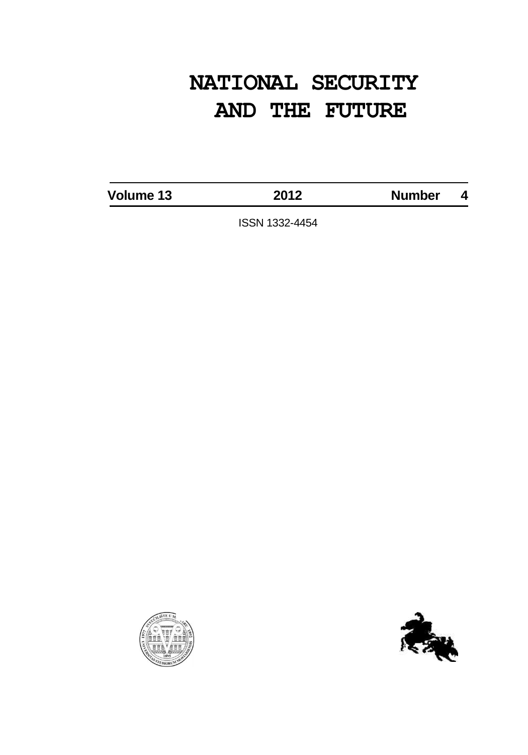# **NATIONAL SECURITY AND THE FUTURE**

**Volume 13 2012 Number 4**

ISSN 1332-4454